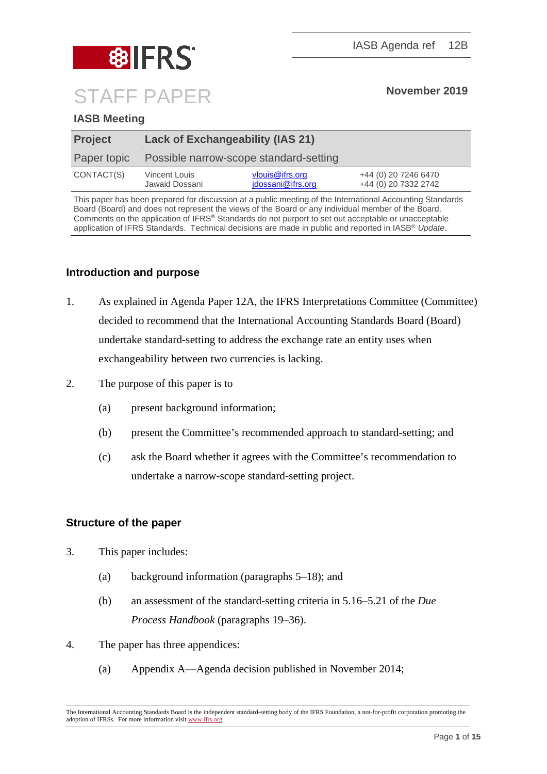

## **IASB Meeting**

| <b>Project</b> | <b>Lack of Exchangeability (IAS 21)</b> |                                      |                                              |
|----------------|-----------------------------------------|--------------------------------------|----------------------------------------------|
| Paper topic    | Possible narrow-scope standard-setting  |                                      |                                              |
| CONTACT(S)     | Vincent Louis<br>Jawaid Dossani         | vlouis@ifrs.org<br>jdossani@ifrs.org | +44 (0) 20 7246 6470<br>+44 (0) 20 7332 2742 |

This paper has been prepared for discussion at a public meeting of the International Accounting Standards Board (Board) and does not represent the views of the Board or any individual member of the Board. Comments on the application of IFRS® Standards do not purport to set out acceptable or unacceptable application of IFRS Standards. Technical decisions are made in public and reported in IASB® *Update*.

#### **Introduction and purpose**

- 1. As explained in Agenda Paper 12A, the IFRS Interpretations Committee (Committee) decided to recommend that the International Accounting Standards Board (Board) undertake standard-setting to address the exchange rate an entity uses when exchangeability between two currencies is lacking.
- 2. The purpose of this paper is to
	- (a) present background information;
	- (b) present the Committee's recommended approach to standard-setting; and
	- (c) ask the Board whether it agrees with the Committee's recommendation to undertake a narrow-scope standard-setting project.

#### **Structure of the paper**

- 3. This paper includes:
	- (a) background information (paragraphs [5–](#page-1-0)[18\)](#page-4-0); and
	- (b) an assessment of the standard-setting criteria in 5.16–5.21 of the *Due Process Handbook* (paragraphs [19](#page-4-1)[–36\)](#page-8-0).
- 4. The paper has three appendices:
	- (a) Appendix A––Agenda decision published in November 2014;

The International Accounting Standards Board is the independent standard-setting body of the IFRS Foundation, a not-for-profit corporation promoting the adoption of IFRSs. For more information visi[t www.ifrs.org](http://www.ifrs.org/)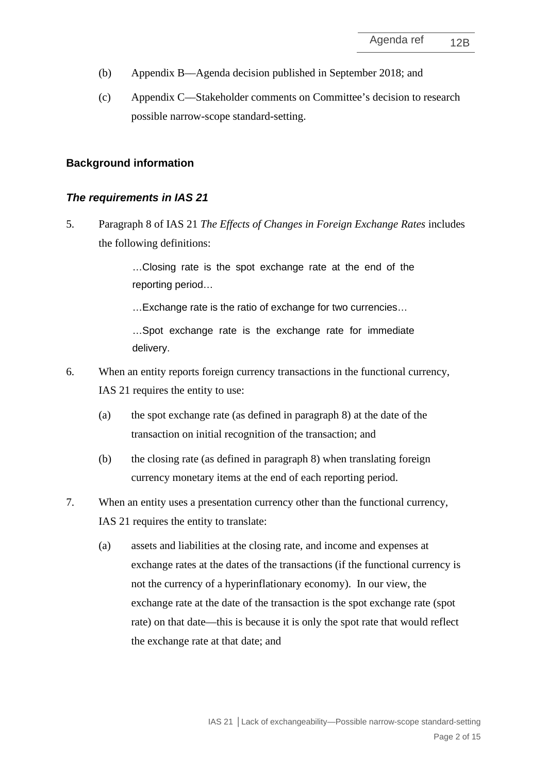- (b) Appendix B––Agenda decision published in September 2018; and
- (c) Appendix C––Stakeholder comments on Committee's decision to research possible narrow-scope standard-setting.

#### **Background information**

#### *The requirements in IAS 21*

<span id="page-1-0"></span>5. Paragraph 8 of IAS 21 *The Effects of Changes in Foreign Exchange Rates* includes the following definitions:

> …Closing rate is the spot exchange rate at the end of the reporting period…

…Exchange rate is the ratio of exchange for two currencies…

…Spot exchange rate is the exchange rate for immediate delivery.

- 6. When an entity reports foreign currency transactions in the functional currency, IAS 21 requires the entity to use:
	- (a) the spot exchange rate (as defined in paragraph 8) at the date of the transaction on initial recognition of the transaction; and
	- (b) the closing rate (as defined in paragraph 8) when translating foreign currency monetary items at the end of each reporting period.
- 7. When an entity uses a presentation currency other than the functional currency, IAS 21 requires the entity to translate:
	- (a) assets and liabilities at the closing rate, and income and expenses at exchange rates at the dates of the transactions (if the functional currency is not the currency of a hyperinflationary economy). In our view, the exchange rate at the date of the transaction is the spot exchange rate (spot rate) on that date—this is because it is only the spot rate that would reflect the exchange rate at that date; and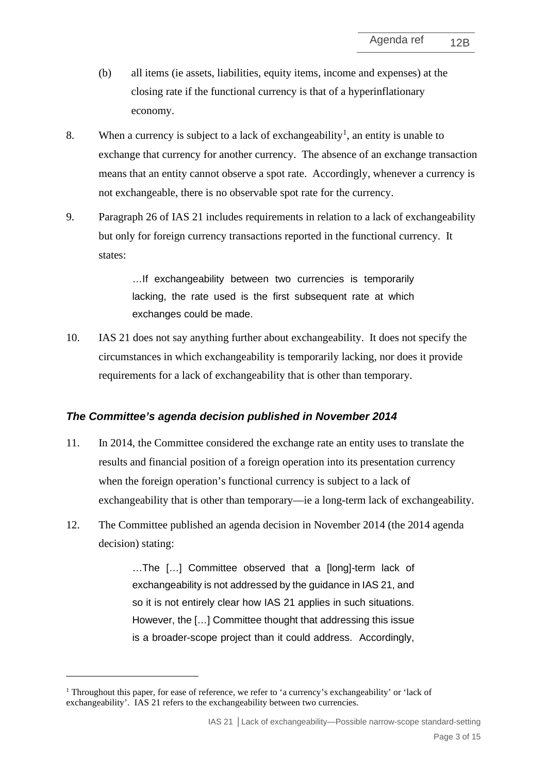- (b) all items (ie assets, liabilities, equity items, income and expenses) at the closing rate if the functional currency is that of a hyperinflationary economy.
- 8. When a currency is subject to a lack of exchangeability<sup>[1](#page-2-0)</sup>, an entity is unable to exchange that currency for another currency. The absence of an exchange transaction means that an entity cannot observe a spot rate. Accordingly, whenever a currency is not exchangeable, there is no observable spot rate for the currency.
- 9. Paragraph 26 of IAS 21 includes requirements in relation to a lack of exchangeability but only for foreign currency transactions reported in the functional currency. It states:

…If exchangeability between two currencies is temporarily lacking, the rate used is the first subsequent rate at which exchanges could be made.

<span id="page-2-1"></span>10. IAS 21 does not say anything further about exchangeability. It does not specify the circumstances in which exchangeability is temporarily lacking, nor does it provide requirements for a lack of exchangeability that is other than temporary.

#### *The Committee's agenda decision published in November 2014*

- 11. In 2014, the Committee considered the exchange rate an entity uses to translate the results and financial position of a foreign operation into its presentation currency when the foreign operation's functional currency is subject to a lack of exchangeability that is other than temporary—ie a long-term lack of exchangeability.
- 12. The Committee published an agenda decision in November 2014 (the 2014 agenda decision) stating:

…The […] Committee observed that a [long]-term lack of exchangeability is not addressed by the guidance in IAS 21, and so it is not entirely clear how IAS 21 applies in such situations. However, the […] Committee thought that addressing this issue is a broader-scope project than it could address. Accordingly,

<span id="page-2-0"></span><sup>&</sup>lt;sup>1</sup> Throughout this paper, for ease of reference, we refer to 'a currency's exchangeability' or 'lack of exchangeability'. IAS 21 refers to the exchangeability between two currencies.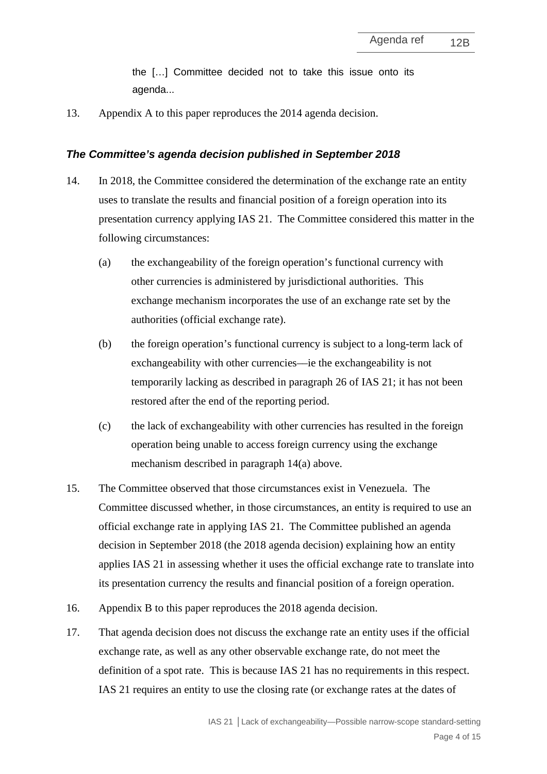the […] Committee decided not to take this issue onto its agenda...

13. Appendix A to this paper reproduces the 2014 agenda decision.

#### *The Committee's agenda decision published in September 2018*

- <span id="page-3-1"></span><span id="page-3-0"></span>14. In 2018, the Committee considered the determination of the exchange rate an entity uses to translate the results and financial position of a foreign operation into its presentation currency applying IAS 21. The Committee considered this matter in the following circumstances:
	- (a) the exchangeability of the foreign operation's functional currency with other currencies is administered by jurisdictional authorities. This exchange mechanism incorporates the use of an exchange rate set by the authorities (official exchange rate).
	- (b) the foreign operation's functional currency is subject to a long-term lack of exchangeability with other currencies—ie the exchangeability is not temporarily lacking as described in paragraph 26 of IAS 21; it has not been restored after the end of the reporting period.
	- (c) the lack of exchangeability with other currencies has resulted in the foreign operation being unable to access foreign currency using the exchange mechanism described in paragraph [14](#page-3-0)[\(a\)](#page-3-1) above.
- 15. The Committee observed that those circumstances exist in Venezuela. The Committee discussed whether, in those circumstances, an entity is required to use an official exchange rate in applying IAS 21. The Committee published an agenda decision in September 2018 (the 2018 agenda decision) explaining how an entity applies IAS 21 in assessing whether it uses the official exchange rate to translate into its presentation currency the results and financial position of a foreign operation.
- 16. Appendix B to this paper reproduces the 2018 agenda decision.
- 17. That agenda decision does not discuss the exchange rate an entity uses if the official exchange rate, as well as any other observable exchange rate, do not meet the definition of a spot rate. This is because IAS 21 has no requirements in this respect. IAS 21 requires an entity to use the closing rate (or exchange rates at the dates of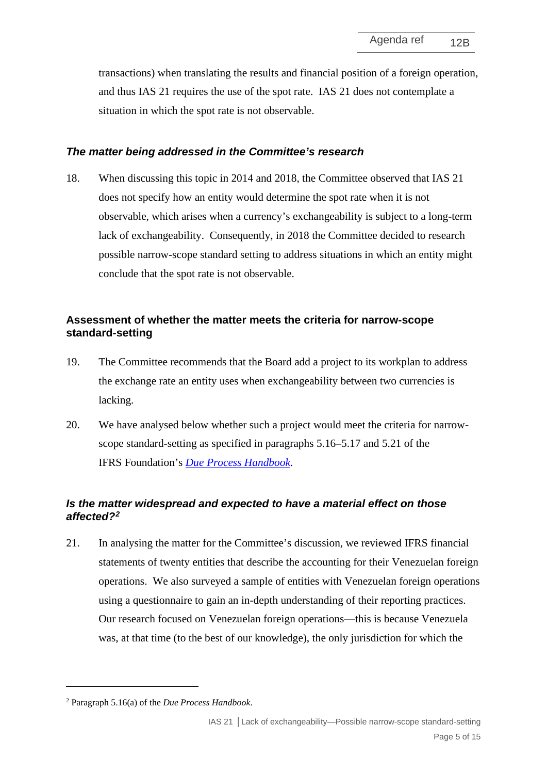transactions) when translating the results and financial position of a foreign operation, and thus IAS 21 requires the use of the spot rate. IAS 21 does not contemplate a situation in which the spot rate is not observable.

#### *The matter being addressed in the Committee's research*

<span id="page-4-0"></span>18. When discussing this topic in 2014 and 2018, the Committee observed that IAS 21 does not specify how an entity would determine the spot rate when it is not observable, which arises when a currency's exchangeability is subject to a long-term lack of exchangeability. Consequently, in 2018 the Committee decided to research possible narrow-scope standard setting to address situations in which an entity might conclude that the spot rate is not observable.

### **Assessment of whether the matter meets the criteria for narrow-scope standard-setting**

- <span id="page-4-1"></span>19. The Committee recommends that the Board add a project to its workplan to address the exchange rate an entity uses when exchangeability between two currencies is lacking.
- 20. We have analysed below whether such a project would meet the criteria for narrowscope standard-setting as specified in paragraphs 5.16–5.17 and 5.21 of the IFRS Foundation's *[Due Process Handbook](https://www.ifrs.org/-/media/feature/about-us/legal-and-governance/constitution-docs/due-process-handbook.pdf)*.

# *Is the matter widespread and expected to have a material effect on those affected?[2](#page-4-2)*

<span id="page-4-3"></span>21. In analysing the matter for the Committee's discussion, we reviewed IFRS financial statements of twenty entities that describe the accounting for their Venezuelan foreign operations. We also surveyed a sample of entities with Venezuelan foreign operations using a questionnaire to gain an in-depth understanding of their reporting practices. Our research focused on Venezuelan foreign operations––this is because Venezuela was, at that time (to the best of our knowledge), the only jurisdiction for which the

<span id="page-4-2"></span><sup>2</sup> Paragraph 5.16(a) of the *Due Process Handbook*.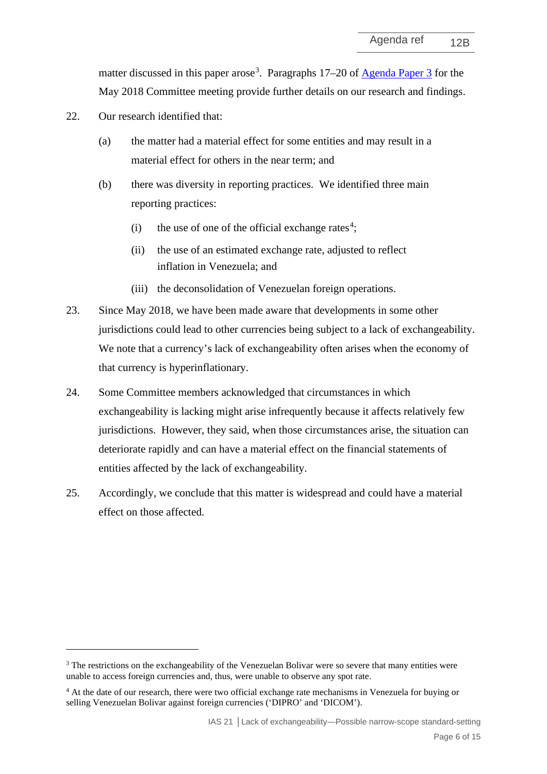matter discussed in this paper arose<sup>[3](#page-5-0)</sup>. Paragraphs 17–20 of **Agenda Paper 3** for the May 2018 Committee meeting provide further details on our research and findings.

- <span id="page-5-2"></span>22. Our research identified that:
	- (a) the matter had a material effect for some entities and may result in a material effect for others in the near term; and
	- (b) there was diversity in reporting practices. We identified three main reporting practices:
		- (i) the use of one of the official exchange rates<sup>[4](#page-5-1)</sup>;
		- (ii) the use of an estimated exchange rate, adjusted to reflect inflation in Venezuela; and
		- (iii) the deconsolidation of Venezuelan foreign operations.
- 23. Since May 2018, we have been made aware that developments in some other jurisdictions could lead to other currencies being subject to a lack of exchangeability. We note that a currency's lack of exchangeability often arises when the economy of that currency is hyperinflationary.
- 24. Some Committee members acknowledged that circumstances in which exchangeability is lacking might arise infrequently because it affects relatively few jurisdictions. However, they said, when those circumstances arise, the situation can deteriorate rapidly and can have a material effect on the financial statements of entities affected by the lack of exchangeability.
- 25. Accordingly, we conclude that this matter is widespread and could have a material effect on those affected.

<span id="page-5-0"></span><sup>&</sup>lt;sup>3</sup> The restrictions on the exchangeability of the Venezuelan Bolivar were so severe that many entities were unable to access foreign currencies and, thus, were unable to observe any spot rate.

<span id="page-5-1"></span><sup>&</sup>lt;sup>4</sup> At the date of our research, there were two official exchange rate mechanisms in Venezuela for buying or selling Venezuelan Bolivar against foreign currencies ('DIPRO' and 'DICOM').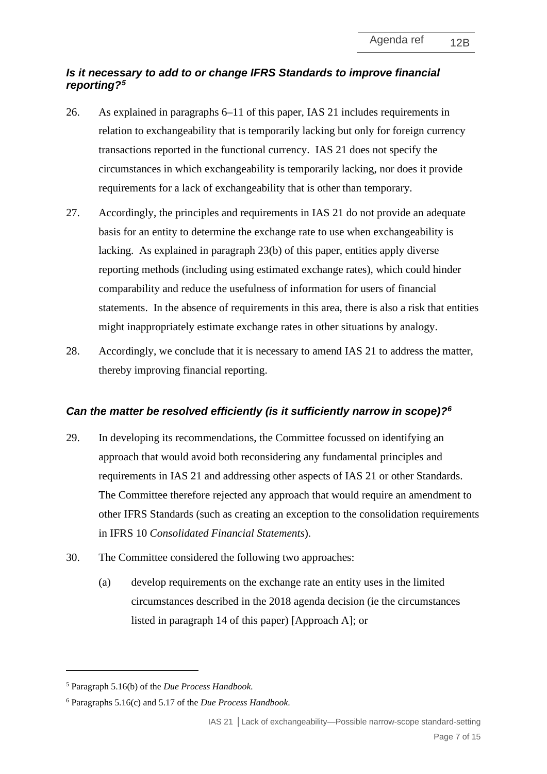# *Is it necessary to add to or change IFRS Standards to improve financial reporting[?5](#page-6-0)*

- 26. As explained in paragraphs [6–](#page-1-0)[11](#page-2-1) of this paper, IAS 21 includes requirements in relation to exchangeability that is temporarily lacking but only for foreign currency transactions reported in the functional currency. IAS 21 does not specify the circumstances in which exchangeability is temporarily lacking, nor does it provide requirements for a lack of exchangeability that is other than temporary.
- 27. Accordingly, the principles and requirements in IAS 21 do not provide an adequate basis for an entity to determine the exchange rate to use when exchangeability is lacking. As explained in paragraph [23\(](#page-5-2)b) of this paper, entities apply diverse reporting methods (including using estimated exchange rates), which could hinder comparability and reduce the usefulness of information for users of financial statements. In the absence of requirements in this area, there is also a risk that entities might inappropriately estimate exchange rates in other situations by analogy.
- 28. Accordingly, we conclude that it is necessary to amend IAS 21 to address the matter, thereby improving financial reporting.

# *Can the matter be resolved efficiently (is it sufficiently narrow in scope)?[6](#page-6-1)*

- 29. In developing its recommendations, the Committee focussed on identifying an approach that would avoid both reconsidering any fundamental principles and requirements in IAS 21 and addressing other aspects of IAS 21 or other Standards. The Committee therefore rejected any approach that would require an amendment to other IFRS Standards (such as creating an exception to the consolidation requirements in IFRS 10 *Consolidated Financial Statements*).
- 30. The Committee considered the following two approaches:
	- (a) develop requirements on the exchange rate an entity uses in the limited circumstances described in the 2018 agenda decision (ie the circumstances listed in paragraph [14](#page-3-0) of this paper) [Approach A]; or

<span id="page-6-0"></span><sup>5</sup> Paragraph 5.16(b) of the *Due Process Handbook.*

<span id="page-6-1"></span><sup>6</sup> Paragraphs 5.16(c) and 5.17 of the *Due Process Handbook*.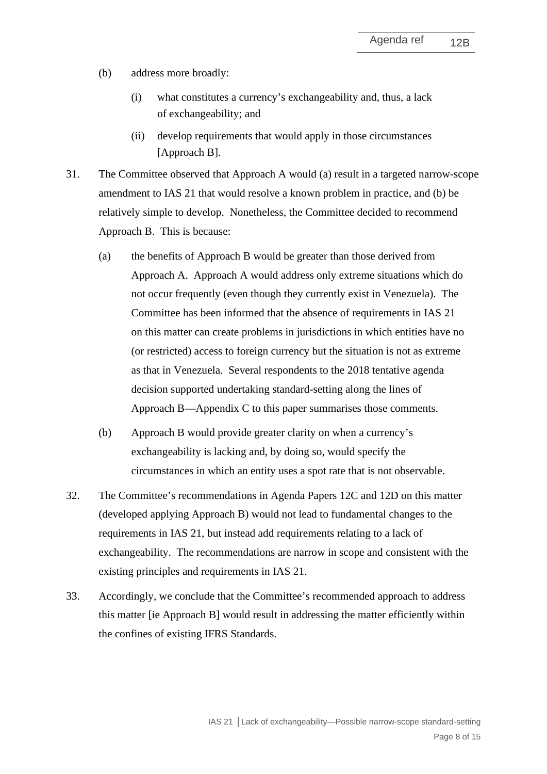- (b) address more broadly:
	- (i) what constitutes a currency's exchangeability and, thus, a lack of exchangeability; and
	- (ii) develop requirements that would apply in those circumstances [Approach B].
- 31. The Committee observed that Approach A would (a) result in a targeted narrow-scope amendment to IAS 21 that would resolve a known problem in practice, and (b) be relatively simple to develop. Nonetheless, the Committee decided to recommend Approach B. This is because:
	- (a) the benefits of Approach B would be greater than those derived from Approach A. Approach A would address only extreme situations which do not occur frequently (even though they currently exist in Venezuela). The Committee has been informed that the absence of requirements in IAS 21 on this matter can create problems in jurisdictions in which entities have no (or restricted) access to foreign currency but the situation is not as extreme as that in Venezuela. Several respondents to the 2018 tentative agenda decision supported undertaking standard-setting along the lines of Approach B—Appendix C to this paper summarises those comments.
	- (b) Approach B would provide greater clarity on when a currency's exchangeability is lacking and, by doing so, would specify the circumstances in which an entity uses a spot rate that is not observable.
- 32. The Committee's recommendations in Agenda Papers 12C and 12D on this matter (developed applying Approach B) would not lead to fundamental changes to the requirements in IAS 21, but instead add requirements relating to a lack of exchangeability. The recommendations are narrow in scope and consistent with the existing principles and requirements in IAS 21.
- 33. Accordingly, we conclude that the Committee's recommended approach to address this matter [ie Approach B] would result in addressing the matter efficiently within the confines of existing IFRS Standards.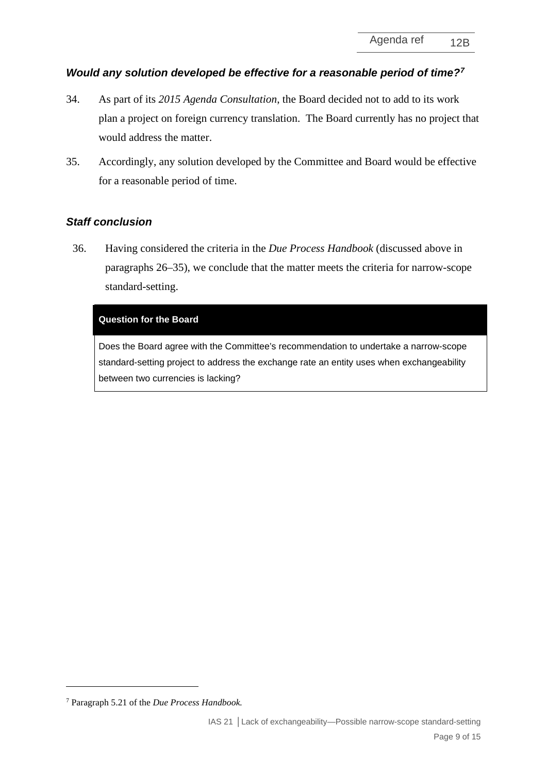# *Would any solution developed be effective for a reasonable period of time?[7](#page-8-2)*

- 34. As part of its *2015 Agenda Consultation*, the Board decided not to add to its work plan a project on foreign currency translation. The Board currently has no project that would address the matter.
- <span id="page-8-1"></span>35. Accordingly, any solution developed by the Committee and Board would be effective for a reasonable period of time.

# *Staff conclusion*

<span id="page-8-0"></span>36. Having considered the criteria in the *Due Process Handbook* (discussed above in paragraphs [26](#page-4-3)[–35\)](#page-8-1), we conclude that the matter meets the criteria for narrow-scope standard-setting.

### **Question for the Board**

Does the Board agree with the Committee's recommendation to undertake a narrow-scope standard-setting project to address the exchange rate an entity uses when exchangeability between two currencies is lacking?

<span id="page-8-2"></span><sup>7</sup> Paragraph 5.21 of the *Due Process Handbook.*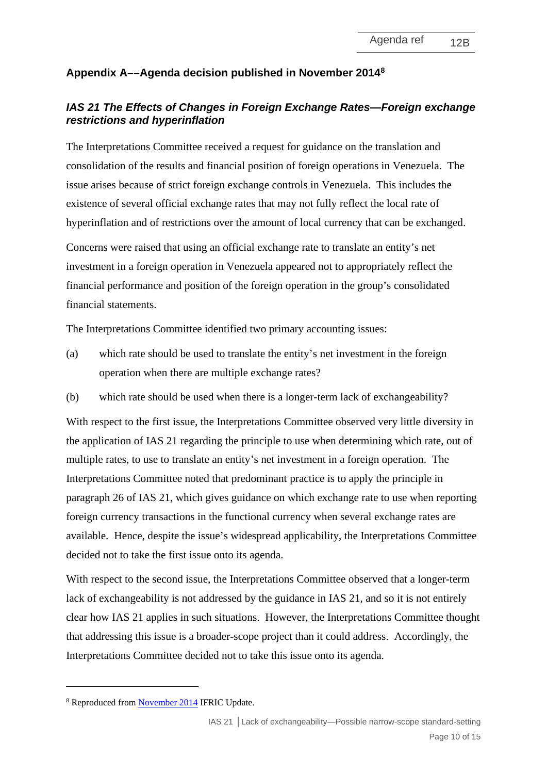# **Appendix A––Agenda decision published in November 2014[8](#page-9-0)**

# *IAS 21 The Effects of Changes in Foreign Exchange Rates—Foreign exchange restrictions and hyperinflation*

The Interpretations Committee received a request for guidance on the translation and consolidation of the results and financial position of foreign operations in Venezuela. The issue arises because of strict foreign exchange controls in Venezuela. This includes the existence of several official exchange rates that may not fully reflect the local rate of hyperinflation and of restrictions over the amount of local currency that can be exchanged.

Concerns were raised that using an official exchange rate to translate an entity's net investment in a foreign operation in Venezuela appeared not to appropriately reflect the financial performance and position of the foreign operation in the group's consolidated financial statements.

The Interpretations Committee identified two primary accounting issues:

- (a) which rate should be used to translate the entity's net investment in the foreign operation when there are multiple exchange rates?
- (b) which rate should be used when there is a longer-term lack of exchangeability?

With respect to the first issue, the Interpretations Committee observed very little diversity in the application of IAS 21 regarding the principle to use when determining which rate, out of multiple rates, to use to translate an entity's net investment in a foreign operation. The Interpretations Committee noted that predominant practice is to apply the principle in paragraph 26 of IAS 21, which gives guidance on which exchange rate to use when reporting foreign currency transactions in the functional currency when several exchange rates are available. Hence, despite the issue's widespread applicability, the Interpretations Committee decided not to take the first issue onto its agenda.

With respect to the second issue, the Interpretations Committee observed that a longer-term lack of exchangeability is not addressed by the guidance in IAS 21, and so it is not entirely clear how IAS 21 applies in such situations. However, the Interpretations Committee thought that addressing this issue is a broader-scope project than it could address. Accordingly, the Interpretations Committee decided not to take this issue onto its agenda.

<span id="page-9-0"></span><sup>8</sup> Reproduced fro[m November 2014](https://www.ifrs.org/-/media/feature/news/updates/ifrs-ic/2014/ifric-update-november-2014.pdf) IFRIC Update.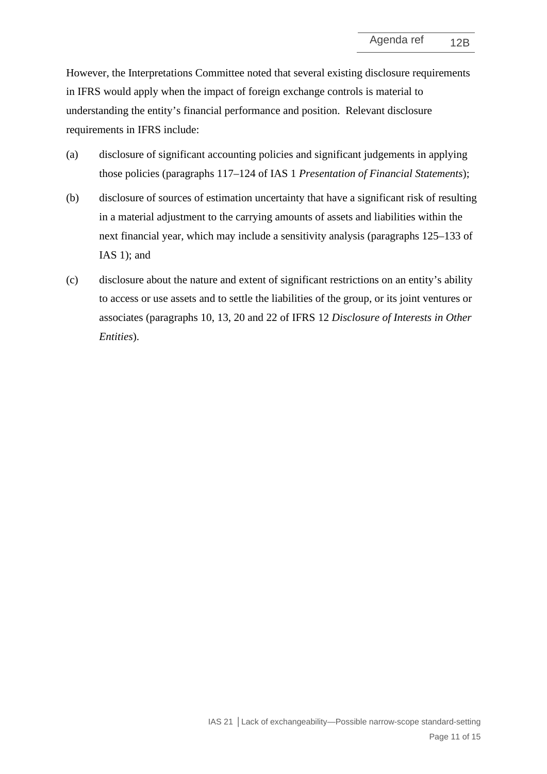However, the Interpretations Committee noted that several existing disclosure requirements in IFRS would apply when the impact of foreign exchange controls is material to understanding the entity's financial performance and position. Relevant disclosure requirements in IFRS include:

- (a) disclosure of significant accounting policies and significant judgements in applying those policies (paragraphs 117–124 of IAS 1 *Presentation of Financial Statements*);
- (b) disclosure of sources of estimation uncertainty that have a significant risk of resulting in a material adjustment to the carrying amounts of assets and liabilities within the next financial year, which may include a sensitivity analysis (paragraphs 125–133 of IAS 1); and
- (c) disclosure about the nature and extent of significant restrictions on an entity's ability to access or use assets and to settle the liabilities of the group, or its joint ventures or associates (paragraphs 10, 13, 20 and 22 of IFRS 12 *Disclosure of Interests in Other Entities*).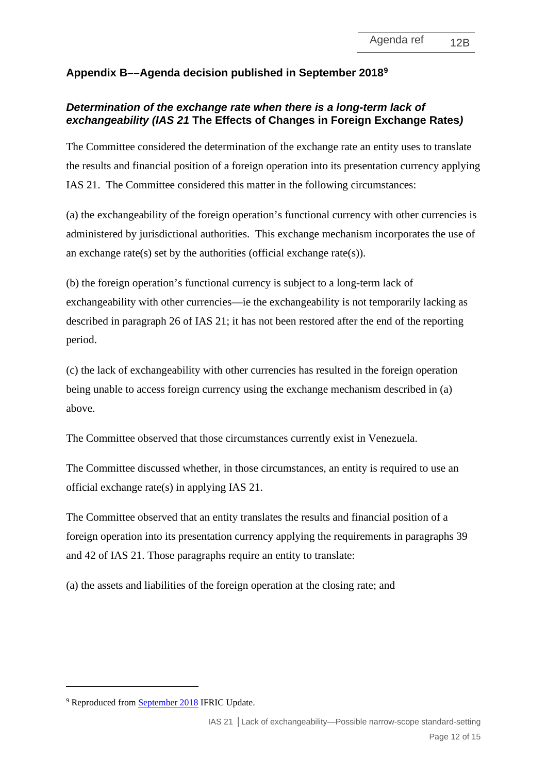# **Appendix B––Agenda decision published in September 2018[9](#page-11-0)**

## *Determination of the exchange rate when there is a long-term lack of exchangeability (IAS 21* **The Effects of Changes in Foreign Exchange Rates***)*

The Committee considered the determination of the exchange rate an entity uses to translate the results and financial position of a foreign operation into its presentation currency applying IAS 21. The Committee considered this matter in the following circumstances:

(a) the exchangeability of the foreign operation's functional currency with other currencies is administered by jurisdictional authorities. This exchange mechanism incorporates the use of an exchange rate(s) set by the authorities (official exchange rate(s)).

(b) the foreign operation's functional currency is subject to a long-term lack of exchangeability with other currencies––ie the exchangeability is not temporarily lacking as described in paragraph 26 of IAS 21; it has not been restored after the end of the reporting period.

(c) the lack of exchangeability with other currencies has resulted in the foreign operation being unable to access foreign currency using the exchange mechanism described in (a) above.

The Committee observed that those circumstances currently exist in Venezuela.

The Committee discussed whether, in those circumstances, an entity is required to use an official exchange rate(s) in applying IAS 21.

The Committee observed that an entity translates the results and financial position of a foreign operation into its presentation currency applying the requirements in paragraphs 39 and 42 of IAS 21. Those paragraphs require an entity to translate:

(a) the assets and liabilities of the foreign operation at the closing rate; and

<span id="page-11-0"></span><sup>&</sup>lt;sup>9</sup> Reproduced fro[m September 2018](https://www.ifrs.org/news-and-events/updates/ifric-updates/september-2018/) IFRIC Update.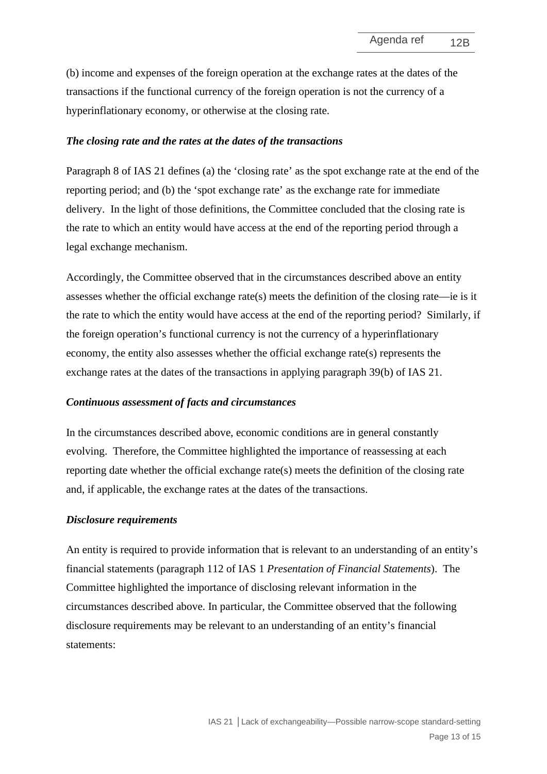(b) income and expenses of the foreign operation at the exchange rates at the dates of the transactions if the functional currency of the foreign operation is not the currency of a hyperinflationary economy, or otherwise at the closing rate.

#### *The closing rate and the rates at the dates of the transactions*

Paragraph 8 of IAS 21 defines (a) the 'closing rate' as the spot exchange rate at the end of the reporting period; and (b) the 'spot exchange rate' as the exchange rate for immediate delivery. In the light of those definitions, the Committee concluded that the closing rate is the rate to which an entity would have access at the end of the reporting period through a legal exchange mechanism.

Accordingly, the Committee observed that in the circumstances described above an entity assesses whether the official exchange rate(s) meets the definition of the closing rate—ie is it the rate to which the entity would have access at the end of the reporting period? Similarly, if the foreign operation's functional currency is not the currency of a hyperinflationary economy, the entity also assesses whether the official exchange rate(s) represents the exchange rates at the dates of the transactions in applying paragraph 39(b) of IAS 21.

#### *Continuous assessment of facts and circumstances*

In the circumstances described above, economic conditions are in general constantly evolving. Therefore, the Committee highlighted the importance of reassessing at each reporting date whether the official exchange rate(s) meets the definition of the closing rate and, if applicable, the exchange rates at the dates of the transactions.

#### *Disclosure requirements*

An entity is required to provide information that is relevant to an understanding of an entity's financial statements (paragraph 112 of IAS 1 *Presentation of Financial Statements*). The Committee highlighted the importance of disclosing relevant information in the circumstances described above. In particular, the Committee observed that the following disclosure requirements may be relevant to an understanding of an entity's financial statements: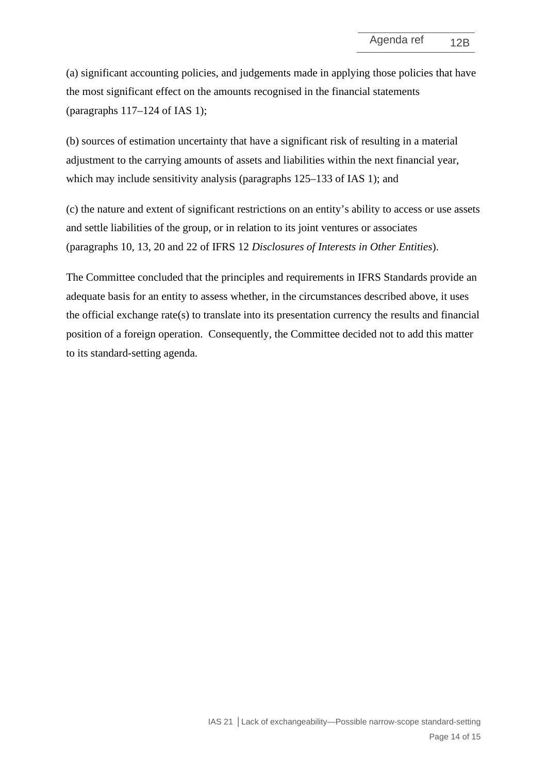(a) significant accounting policies, and judgements made in applying those policies that have the most significant effect on the amounts recognised in the financial statements (paragraphs 117–124 of IAS 1);

(b) sources of estimation uncertainty that have a significant risk of resulting in a material adjustment to the carrying amounts of assets and liabilities within the next financial year, which may include sensitivity analysis (paragraphs 125–133 of IAS 1); and

(c) the nature and extent of significant restrictions on an entity's ability to access or use assets and settle liabilities of the group, or in relation to its joint ventures or associates (paragraphs 10, 13, 20 and 22 of IFRS 12 *Disclosures of Interests in Other Entities*).

The Committee concluded that the principles and requirements in IFRS Standards provide an adequate basis for an entity to assess whether, in the circumstances described above, it uses the official exchange rate(s) to translate into its presentation currency the results and financial position of a foreign operation. Consequently, the Committee decided not to add this matter to its standard-setting agenda.